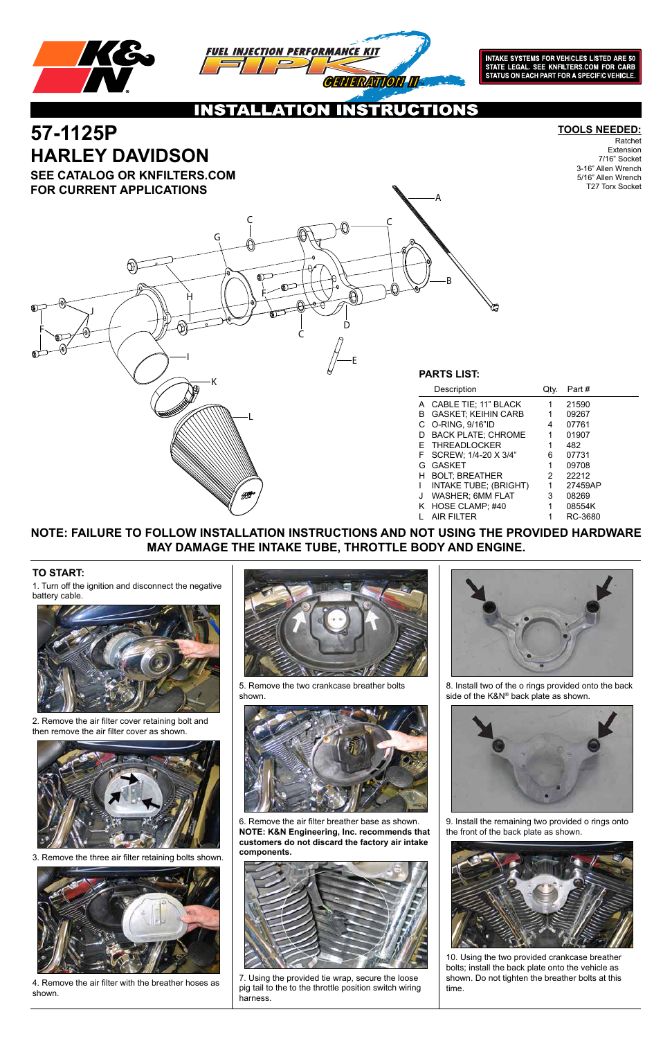



**INTAKE SYSTEMS FOR VEHICLES LISTED ARE 50** STATE LEGAL. SEE KNFILTERS.COM FOR CARB<br>STATUS ON EACH PART FOR A SPECIFIC VEHICLE.

CTIONS  $\bullet$ 

### **TO START:**

1. Turn off the ignition and disconnect the negative battery cable.



2. Remove the air filter cover retaining bolt and then remove the air filter cover as shown.



# Ratchet

Extension 7/16" Socket 3-16" Allen Wrench 5/16" Allen Wrench T27 Torx Socket

3. Remove the three air filter retaining bolts shown.



4. Remove the air filter with the breather hoses as shown.



5. Remove the two crankcase breather bolts shown.







8. Install two of the o rings provided onto the back side of the K&N® back plate as shown.



# **57-1125P TOOLS NEEDED: HARLEY DAVIDSON**

6. Remove the air filter breather base as shown. **NOTE: K&N Engineering, Inc. recommends that customers do not discard the factory air intake components.**



7. Using the provided tie wrap, secure the loose pig tail to the to the throttle position switch wiring harness.

9. Install the remaining two provided o rings onto the front of the back plate as shown.



10. Using the two provided crankcase breather bolts; install the back plate onto the vehicle as shown. Do not tighten the breather bolts at this time.

#### **SEE CATALOG OR KNFILTERS.COM FOR CURRENT APPLICATIONS**

#### **NOTE: FAILURE TO FOLLOW INSTALLATION INSTRUCTIONS AND NOT USING THE PROVIDED HARDWARE MAY DAMAGE THE INTAKE TUBE, THROTTLE BODY AND ENGINE.**